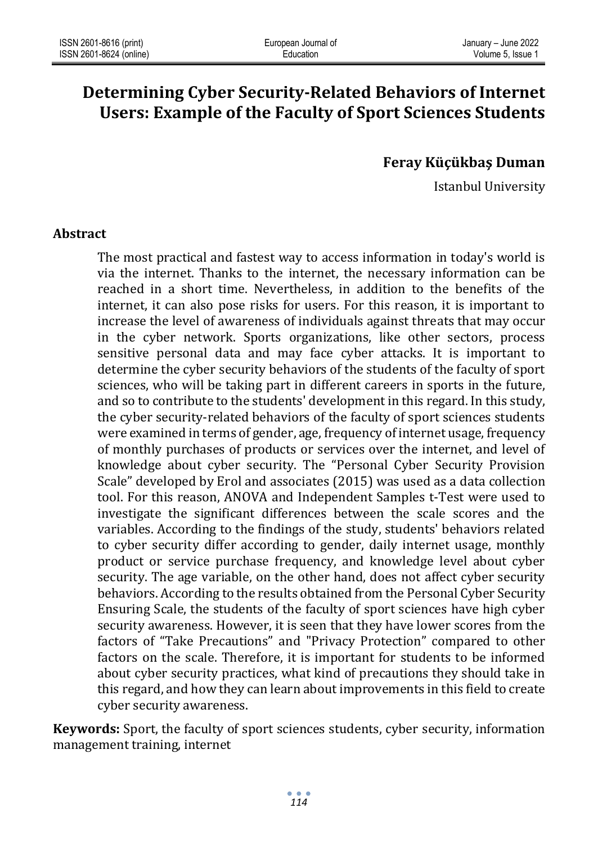# **Determining Cyber Security-Related Behaviors of Internet Users: Example of the Faculty of Sport Sciences Students**

**Feray Küçükbaş Duman**

Istanbul University

#### **Abstract**

The most practical and fastest way to access information in today's world is via the internet. Thanks to the internet, the necessary information can be reached in a short time. Nevertheless, in addition to the benefits of the internet, it can also pose risks for users. For this reason, it is important to increase the level of awareness of individuals against threats that may occur in the cyber network. Sports organizations, like other sectors, process sensitive personal data and may face cyber attacks. It is important to determine the cyber security behaviors of the students of the faculty of sport sciences, who will be taking part in different careers in sports in the future, and so to contribute to the students' development in this regard. In this study, the cyber security-related behaviors of the faculty of sport sciences students were examined in terms of gender, age, frequency of internet usage, frequency of monthly purchases of products or services over the internet, and level of knowledge about cyber security. The "Personal Cyber Security Provision Scale" developed by Erol and associates (2015) was used as a data collection tool. For this reason, ANOVA and Independent Samples t-Test were used to investigate the significant differences between the scale scores and the variables. According to the findings of the study, students' behaviors related to cyber security differ according to gender, daily internet usage, monthly product or service purchase frequency, and knowledge level about cyber security. The age variable, on the other hand, does not affect cyber security behaviors. According to the results obtained from the Personal Cyber Security Ensuring Scale, the students of the faculty of sport sciences have high cyber security awareness. However, it is seen that they have lower scores from the factors of "Take Precautions" and "Privacy Protection" compared to other factors on the scale. Therefore, it is important for students to be informed about cyber security practices, what kind of precautions they should take in this regard, and how they can learn about improvements in this field to create cyber security awareness.

**Keywords:** Sport, the faculty of sport sciences students, cyber security, information management training, internet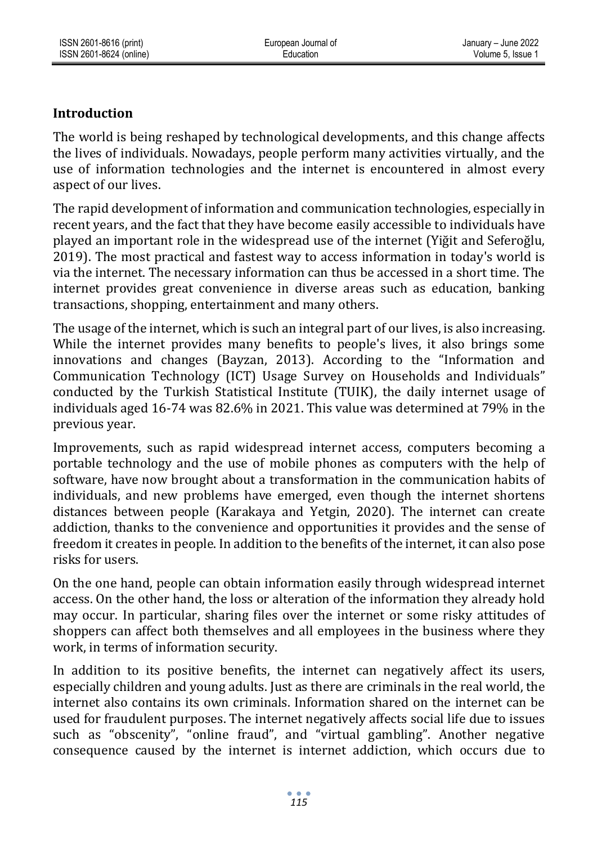# **Introduction**

The world is being reshaped by technological developments, and this change affects the lives of individuals. Nowadays, people perform many activities virtually, and the use of information technologies and the internet is encountered in almost every aspect of our lives.

The rapid development of information and communication technologies, especially in recent years, and the fact that they have become easily accessible to individuals have played an important role in the widespread use of the internet (Yiğit and Seferoğlu, 2019). The most practical and fastest way to access information in today's world is via the internet. The necessary information can thus be accessed in a short time. The internet provides great convenience in diverse areas such as education, banking transactions, shopping, entertainment and many others.

The usage of the internet, which is such an integral part of our lives, is also increasing. While the internet provides many benefits to people's lives, it also brings some innovations and changes (Bayzan, 2013). According to the "Information and Communication Technology (ICT) Usage Survey on Households and Individuals" conducted by the Turkish Statistical Institute (TUIK), the daily internet usage of individuals aged 16-74 was 82.6% in 2021. This value was determined at 79% in the previous year.

Improvements, such as rapid widespread internet access, computers becoming a portable technology and the use of mobile phones as computers with the help of software, have now brought about a transformation in the communication habits of individuals, and new problems have emerged, even though the internet shortens distances between people (Karakaya and Yetgin, 2020). The internet can create addiction, thanks to the convenience and opportunities it provides and the sense of freedom it creates in people. In addition to the benefits of the internet, it can also pose risks for users.

On the one hand, people can obtain information easily through widespread internet access. On the other hand, the loss or alteration of the information they already hold may occur. In particular, sharing files over the internet or some risky attitudes of shoppers can affect both themselves and all employees in the business where they work, in terms of information security.

In addition to its positive benefits, the internet can negatively affect its users, especially children and young adults. Just as there are criminals in the real world, the internet also contains its own criminals. Information shared on the internet can be used for fraudulent purposes. The internet negatively affects social life due to issues such as "obscenity", "online fraud", and "virtual gambling". Another negative consequence caused by the internet is internet addiction, which occurs due to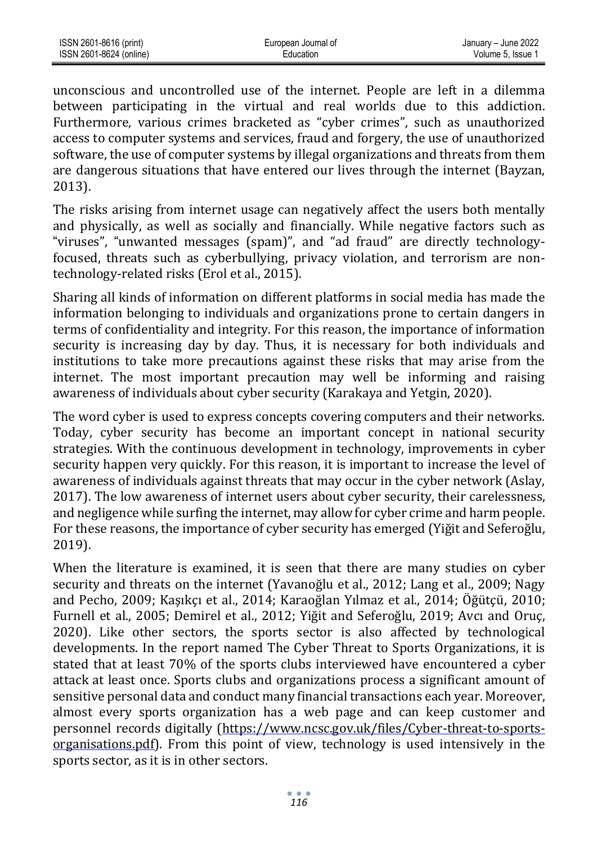| ISSN 2601-8616 (print)  | European Journal of | January - June 2022 |
|-------------------------|---------------------|---------------------|
| ISSN 2601-8624 (online) | Education           | Volume 5. Issue 1   |

unconscious and uncontrolled use of the internet. People are left in a dilemma between participating in the virtual and real worlds due to this addiction. Furthermore, various crimes bracketed as "cyber crimes", such as unauthorized access to computer systems and services, fraud and forgery, the use of unauthorized software, the use of computer systems by illegal organizations and threats from them are dangerous situations that have entered our lives through the internet (Bayzan, 2013).

The risks arising from internet usage can negatively affect the users both mentally and physically, as well as socially and financially. While negative factors such as "viruses", "unwanted messages (spam)", and "ad fraud" are directly technologyfocused, threats such as cyberbullying, privacy violation, and terrorism are nontechnology-related risks (Erol et al., 2015).

Sharing all kinds of information on different platforms in social media has made the information belonging to individuals and organizations prone to certain dangers in terms of confidentiality and integrity. For this reason, the importance of information security is increasing day by day. Thus, it is necessary for both individuals and institutions to take more precautions against these risks that may arise from the internet. The most important precaution may well be informing and raising awareness of individuals about cyber security (Karakaya and Yetgin, 2020).

The word cyber is used to express concepts covering computers and their networks. Today, cyber security has become an important concept in national security strategies. With the continuous development in technology, improvements in cyber security happen very quickly. For this reason, it is important to increase the level of awareness of individuals against threats that may occur in the cyber network (Aslay, 2017). The low awareness of internet users about cyber security, their carelessness, and negligence while surfing the internet, may allow for cyber crime and harm people. For these reasons, the importance of cyber security has emerged (Yiğit and Seferoğlu, 2019).

When the literature is examined, it is seen that there are many studies on cyber security and threats on the internet (Yavanoğlu et al., 2012; Lang et al., 2009; Nagy and Pecho, 2009; Kaşıkçı et al., 2014; Karaoğlan Yılmaz et al., 2014; Öğütçü, 2010; Furnell et al., 2005; Demirel et al., 2012; Yiğit and Seferoğlu, 2019; Avcı and Oruç, 2020). Like other sectors, the sports sector is also affected by technological developments. In the report named The Cyber Threat to Sports Organizations, it is stated that at least 70% of the sports clubs interviewed have encountered a cyber attack at least once. Sports clubs and organizations process a significant amount of sensitive personal data and conduct many financial transactions each year. Moreover, almost every sports organization has a web page and can keep customer and personnel records digitally [\(https://www.ncsc.gov.uk/files/Cyber-threat-to-sports](https://www.ncsc.gov.uk/files/Cyber-threat-to-sports-organisations.pdf)[organisations.pdf\)](https://www.ncsc.gov.uk/files/Cyber-threat-to-sports-organisations.pdf). From this point of view, technology is used intensively in the sports sector, as it is in other sectors.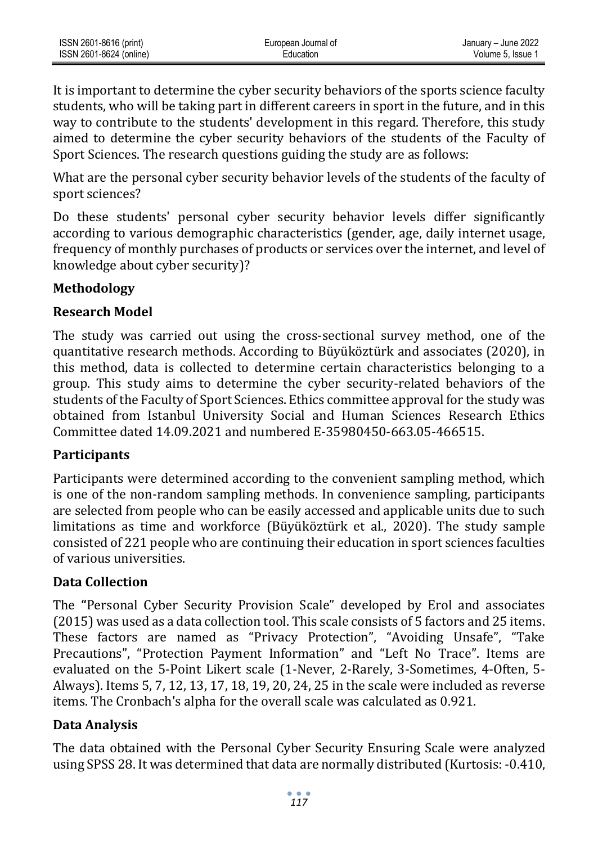| ISSN 2601-8616 (print)  | European Journal of | January - June 2022 |
|-------------------------|---------------------|---------------------|
| ISSN 2601-8624 (online) | <b>Education</b>    | Volume 5. Issue 1   |

It is important to determine the cyber security behaviors of the sports science faculty students, who will be taking part in different careers in sport in the future, and in this way to contribute to the students' development in this regard. Therefore, this study aimed to determine the cyber security behaviors of the students of the Faculty of Sport Sciences. The research questions guiding the study are as follows:

What are the personal cyber security behavior levels of the students of the faculty of sport sciences?

Do these students' personal cyber security behavior levels differ significantly according to various demographic characteristics (gender, age, daily internet usage, frequency of monthly purchases of products or services over the internet, and level of knowledge about cyber security)?

# **Methodology**

## **Research Model**

The study was carried out using the cross-sectional survey method, one of the quantitative research methods. According to Büyüköztürk and associates (2020), in this method, data is collected to determine certain characteristics belonging to a group. This study aims to determine the cyber security-related behaviors of the students of the Faculty of Sport Sciences. Ethics committee approval for the study was obtained from Istanbul University Social and Human Sciences Research Ethics Committee dated 14.09.2021 and numbered E-35980450-663.05-466515.

# **Participants**

Participants were determined according to the convenient sampling method, which is one of the non-random sampling methods. In convenience sampling, participants are selected from people who can be easily accessed and applicable units due to such limitations as time and workforce (Büyüköztürk et al., 2020). The study sample consisted of 221 people who are continuing their education in sport sciences faculties of various universities.

# **Data Collection**

The **"**Personal Cyber Security Provision Scale" developed by Erol and associates (2015) was used as a data collection tool. This scale consists of 5 factors and 25 items. These factors are named as "Privacy Protection", "Avoiding Unsafe", "Take Precautions", "Protection Payment Information" and "Left No Trace". Items are evaluated on the 5-Point Likert scale (1-Never, 2-Rarely, 3-Sometimes, 4-Often, 5- Always). Items 5, 7, 12, 13, 17, 18, 19, 20, 24, 25 in the scale were included as reverse items. The Cronbach's alpha for the overall scale was calculated as 0.921.

# **Data Analysis**

The data obtained with the Personal Cyber Security Ensuring Scale were analyzed using SPSS 28. It was determined that data are normally distributed (Kurtosis: -0.410,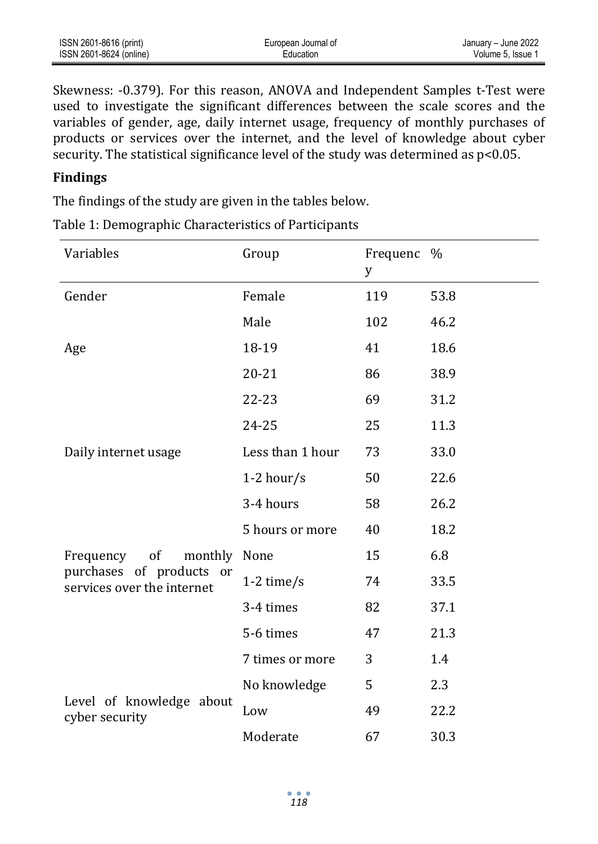| ISSN 2601-8616 (print)  | European Journal of | January - June 2022 |
|-------------------------|---------------------|---------------------|
| ISSN 2601-8624 (online) | Education           | Volume 5. Issue 1   |

Skewness: -0.379). For this reason, ANOVA and Independent Samples t-Test were used to investigate the significant differences between the scale scores and the variables of gender, age, daily internet usage, frequency of monthly purchases of products or services over the internet, and the level of knowledge about cyber security. The statistical significance level of the study was determined as p<0.05.

## **Findings**

The findings of the study are given in the tables below.

| Variables                                              | Group            | Frequenc %<br>У |      |
|--------------------------------------------------------|------------------|-----------------|------|
| Gender                                                 | Female           | 119             | 53.8 |
|                                                        | Male             | 102             | 46.2 |
| Age                                                    | 18-19            | 41              | 18.6 |
|                                                        | $20 - 21$        | 86              | 38.9 |
|                                                        | 22-23            | 69              | 31.2 |
|                                                        | 24-25            | 25              | 11.3 |
| Daily internet usage                                   | Less than 1 hour | 73              | 33.0 |
|                                                        | 1-2 hour/s       | 50              | 22.6 |
|                                                        | 3-4 hours        | 58              | 26.2 |
|                                                        | 5 hours or more  | 40              | 18.2 |
| of<br>monthly None<br>Frequency                        |                  | 15              | 6.8  |
| purchases of products or<br>services over the internet | $1-2$ time/s     | 74              | 33.5 |
|                                                        | 3-4 times        | 82              | 37.1 |
|                                                        | 5-6 times        | 47              | 21.3 |
|                                                        | 7 times or more  | 3               | 1.4  |
|                                                        | No knowledge     | 5               | 2.3  |
| Level of knowledge about<br>cyber security             | Low              | 49              | 22.2 |
|                                                        | Moderate         | 67              | 30.3 |

Table 1: Demographic Characteristics of Participants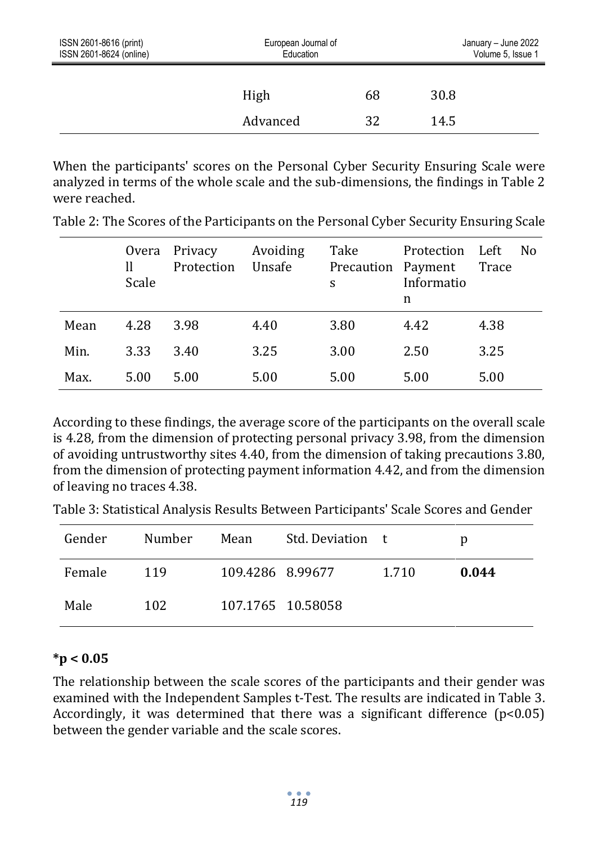| ISSN 2601-8616 (print)<br>ISSN 2601-8624 (online) | European Journal of<br>Education |    | January - June 2022<br>Volume 5, Issue 1 |  |
|---------------------------------------------------|----------------------------------|----|------------------------------------------|--|
|                                                   | High                             | 68 | 30.8                                     |  |
|                                                   | Advanced                         | 32 | 14.5                                     |  |

When the participants' scores on the Personal Cyber Security Ensuring Scale were analyzed in terms of the whole scale and the sub-dimensions, the findings in Table 2 were reached.

|      | Overa<br>H<br>Scale | Privacy<br>Protection | Avoiding<br>Unsafe | Take<br>Precaution Payment<br>S | Protection Left<br>Informatio<br>n | No.<br>Trace |
|------|---------------------|-----------------------|--------------------|---------------------------------|------------------------------------|--------------|
| Mean | 4.28                | 3.98                  | 4.40               | 3.80                            | 4.42                               | 4.38         |
| Min. | 3.33                | 3.40                  | 3.25               | 3.00                            | 2.50                               | 3.25         |
| Max. | 5.00                | 5.00                  | 5.00               | 5.00                            | 5.00                               | 5.00         |

Table 2: The Scores of the Participants on the Personal Cyber Security Ensuring Scale

According to these findings, the average score of the participants on the overall scale is 4.28, from the dimension of protecting personal privacy 3.98, from the dimension of avoiding untrustworthy sites 4.40, from the dimension of taking precautions 3.80, from the dimension of protecting payment information 4.42, and from the dimension of leaving no traces 4.38.

Table 3: Statistical Analysis Results Between Participants' Scale Scores and Gender

| Gender | Number | Mean             | Std. Deviation t  |       | D     |
|--------|--------|------------------|-------------------|-------|-------|
| Female | 119    | 109.4286 8.99677 |                   | 1.710 | 0.044 |
| Male   | 102    |                  | 107.1765 10.58058 |       |       |

## **\*p < 0.05**

The relationship between the scale scores of the participants and their gender was examined with the Independent Samples t-Test. The results are indicated in Table 3. Accordingly, it was determined that there was a significant difference  $(p<0.05)$ between the gender variable and the scale scores.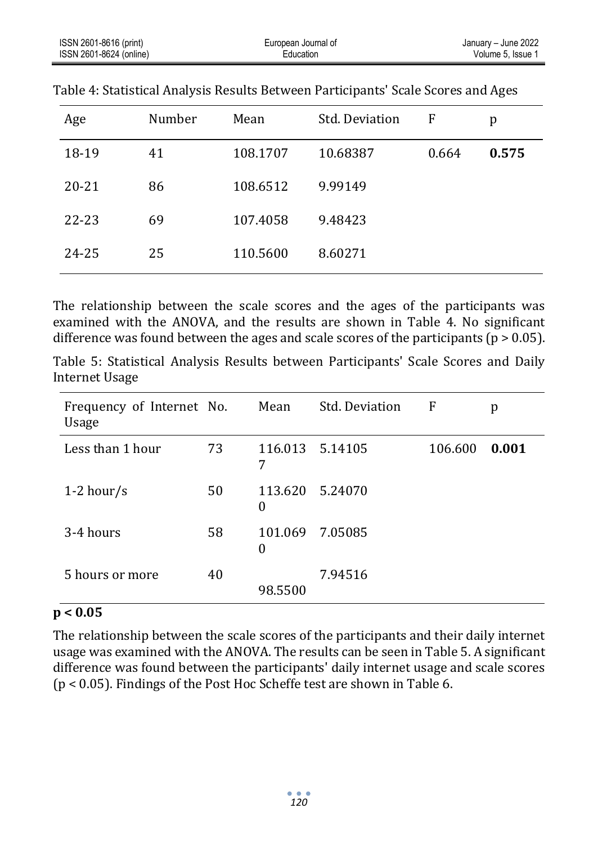| ISSN 2601-8616 (print)  | European Journal of | January - June 2022 |
|-------------------------|---------------------|---------------------|
| ISSN 2601-8624 (online) | Education           | Volume 5. Issue     |

| Age       | Number | Mean     | Std. Deviation | F     | p     |
|-----------|--------|----------|----------------|-------|-------|
| 18-19     | 41     | 108.1707 | 10.68387       | 0.664 | 0.575 |
| $20 - 21$ | 86     | 108.6512 | 9.99149        |       |       |
| $22 - 23$ | 69     | 107.4058 | 9.48423        |       |       |
| 24-25     | 25     | 110.5600 | 8.60271        |       |       |

Table 4: Statistical Analysis Results Between Participants' Scale Scores and Ages

The relationship between the scale scores and the ages of the participants was examined with the ANOVA, and the results are shown in Table 4. No significant difference was found between the ages and scale scores of the participants ( $p > 0.05$ ).

Table 5: Statistical Analysis Results between Participants' Scale Scores and Daily Internet Usage

| Frequency of Internet No.<br>Usage |    | Mean         | Std. Deviation  | F       | p     |
|------------------------------------|----|--------------|-----------------|---------|-------|
| Less than 1 hour                   | 73 | 7            | 116.013 5.14105 | 106.600 | 0.001 |
| 1-2 hour/s                         | 50 | 113.620<br>0 | 5.24070         |         |       |
| 3-4 hours                          | 58 | 101.069<br>0 | 7.05085         |         |       |
| 5 hours or more                    | 40 | 98.5500      | 7.94516         |         |       |

#### **p < 0.05**

The relationship between the scale scores of the participants and their daily internet usage was examined with the ANOVA. The results can be seen in Table 5. A significant difference was found between the participants' daily internet usage and scale scores (p < 0.05). Findings of the Post Hoc Scheffe test are shown in Table 6.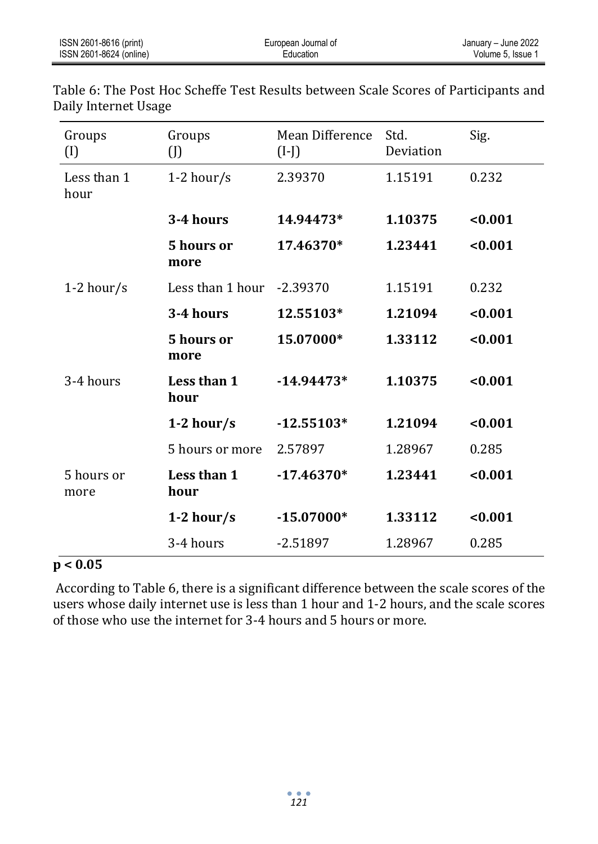| Groups<br>$\left( I\right)$ | Groups<br>$\left($ J          | <b>Mean Difference</b><br>$(I-J)$ | Std.<br>Deviation | Sig.    |
|-----------------------------|-------------------------------|-----------------------------------|-------------------|---------|
| Less than 1<br>hour         | $1-2$ hour/s                  | 2.39370                           | 1.15191           | 0.232   |
|                             | 3-4 hours                     | 14.94473*                         | 1.10375           | < 0.001 |
|                             | 5 hours or<br>more            | 17.46370*                         | 1.23441           | < 0.001 |
| 1-2 hour/s                  | Less than $1$ hour $-2.39370$ |                                   | 1.15191           | 0.232   |
|                             | 3-4 hours                     | 12.55103*                         | 1.21094           | < 0.001 |
|                             | 5 hours or<br>more            | 15.07000*                         | 1.33112           | < 0.001 |
| 3-4 hours                   | Less than 1<br>hour           | $-14.94473*$                      | 1.10375           | < 0.001 |
|                             | $1-2$ hour/s                  | $-12.55103*$                      | 1.21094           | < 0.001 |
|                             | 5 hours or more               | 2.57897                           | 1.28967           | 0.285   |
| 5 hours or<br>more          | Less than 1<br>hour           | $-17.46370*$                      | 1.23441           | < 0.001 |
|                             | $1-2$ hour/s                  | $-15.07000*$                      | 1.33112           | < 0.001 |
|                             | 3-4 hours                     | $-2.51897$                        | 1.28967           | 0.285   |

Table 6: The Post Hoc Scheffe Test Results between Scale Scores of Participants and Daily Internet Usage

## **p < 0.05**

According to Table 6, there is a significant difference between the scale scores of the users whose daily internet use is less than 1 hour and 1-2 hours, and the scale scores of those who use the internet for 3-4 hours and 5 hours or more.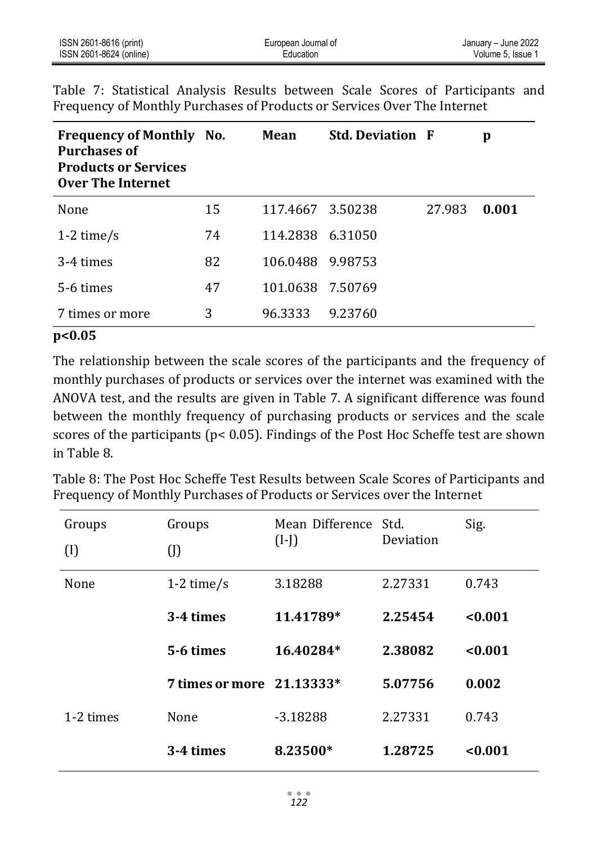| ISSN 2601-8616 (print)  | European Journal of | January - June 2022 |
|-------------------------|---------------------|---------------------|
| ISSN 2601-8624 (online) | Education           | Volume 5. Issue 1   |

| <b>Frequency of Monthly No.</b><br><b>Purchases of</b><br><b>Products or Services</b><br>Over The Internet |    | Mean             | <b>Std. Deviation F</b> |        | p     |
|------------------------------------------------------------------------------------------------------------|----|------------------|-------------------------|--------|-------|
| None                                                                                                       | 15 | 117.4667         | 3.50238                 | 27.983 | 0.001 |
| 1-2 time/s                                                                                                 | 74 | 114.2838 6.31050 |                         |        |       |
| 3-4 times                                                                                                  | 82 | 106.0488 9.98753 |                         |        |       |
| 5-6 times                                                                                                  | 47 | 101.0638 7.50769 |                         |        |       |
| times or more                                                                                              | 3  | 96.3333          | 9.23760                 |        |       |

Table 7: Statistical Analysis Results between Scale Scores of Participants and Frequency of Monthly Purchases of Products or Services Over The Internet

#### **p<0.05**

The relationship between the scale scores of the participants and the frequency of monthly purchases of products or services over the internet was examined with the ANOVA test, and the results are given in Table 7. A significant difference was found between the monthly frequency of purchasing products or services and the scale scores of the participants (p< 0.05). Findings of the Post Hoc Scheffe test are shown in Table 8.

Table 8: The Post Hoc Scheffe Test Results between Scale Scores of Participants and Frequency of Monthly Purchases of Products or Services over the Internet

| Groups     | Groups                    | Mean Difference Std. |           | Sig.    |  |
|------------|---------------------------|----------------------|-----------|---------|--|
| $\left($ I | (J)                       | $(I-I)$              | Deviation |         |  |
| None       | 1-2 time/s                | 3.18288              | 2.27331   | 0.743   |  |
|            | 3-4 times                 | 11.41789*            | 2.25454   | < 0.001 |  |
|            | 5-6 times                 | 16.40284*            | 2.38082   | < 0.001 |  |
|            | 7 times or more 21.13333* |                      | 5.07756   | 0.002   |  |
| 1-2 times  | None                      | $-3.18288$           | 2.27331   | 0.743   |  |
|            | 3-4 times                 | 8.23500*             | 1.28725   | < 0.001 |  |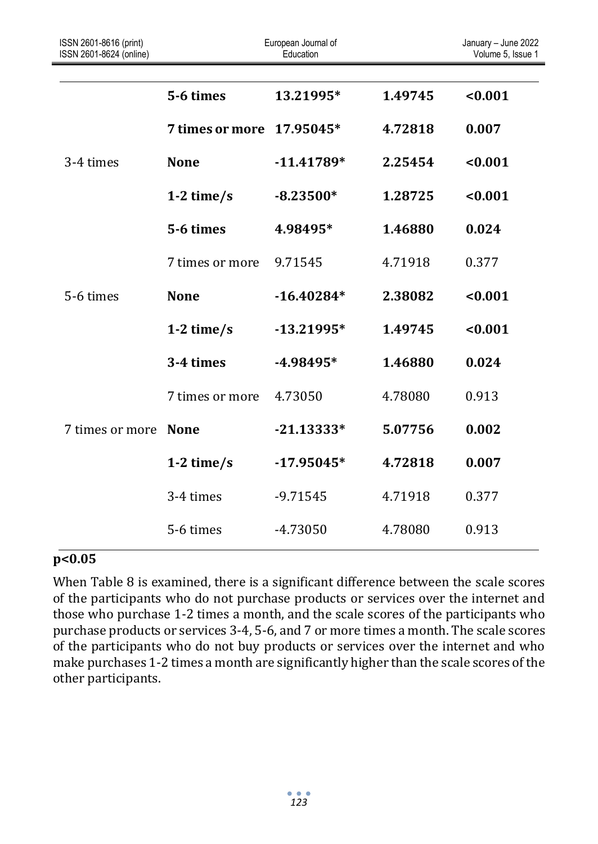| ISSN 2601-8616 (print)<br>ISSN 2601-8624 (online) |                        | European Journal of<br>Education |         | January - June 2022<br>Volume 5, Issue 1 |
|---------------------------------------------------|------------------------|----------------------------------|---------|------------------------------------------|
|                                                   | 5-6 times              | 13.21995*                        | 1.49745 | < 0.001                                  |
|                                                   | <b>7 times or more</b> | 17.95045*                        | 4.72818 | 0.007                                    |
| 3-4 times                                         | <b>None</b>            | $-11.41789*$                     | 2.25454 | < 0.001                                  |
|                                                   | 1-2 time/s             | $-8.23500*$                      | 1.28725 | < 0.001                                  |
|                                                   | 5-6 times              | 4.98495*                         | 1.46880 | 0.024                                    |
|                                                   | 7 times or more        | 9.71545                          | 4.71918 | 0.377                                    |
| 5-6 times                                         | <b>None</b>            | $-16.40284*$                     | 2.38082 | < 0.001                                  |
|                                                   | 1-2 time/s             | $-13.21995*$                     | 1.49745 | < 0.001                                  |
|                                                   | 3-4 times              | $-4.98495*$                      | 1.46880 | 0.024                                    |
|                                                   | 7 times or more        | 4.73050                          | 4.78080 | 0.913                                    |
| 7 times or more                                   | <b>None</b>            | $-21.13333*$                     | 5.07756 | 0.002                                    |
|                                                   | 1-2 time/s             | $-17.95045*$                     | 4.72818 | 0.007                                    |
|                                                   | 3-4 times              | $-9.71545$                       | 4.71918 | 0.377                                    |
|                                                   | 5-6 times              | -4.73050                         | 4.78080 | 0.913                                    |

#### **p<0.05**

When Table 8 is examined, there is a significant difference between the scale scores of the participants who do not purchase products or services over the internet and those who purchase 1-2 times a month, and the scale scores of the participants who purchase products or services 3-4, 5-6, and 7 or more times a month. The scale scores of the participants who do not buy products or services over the internet and who make purchases 1-2 times a month are significantly higher than the scale scores of the other participants.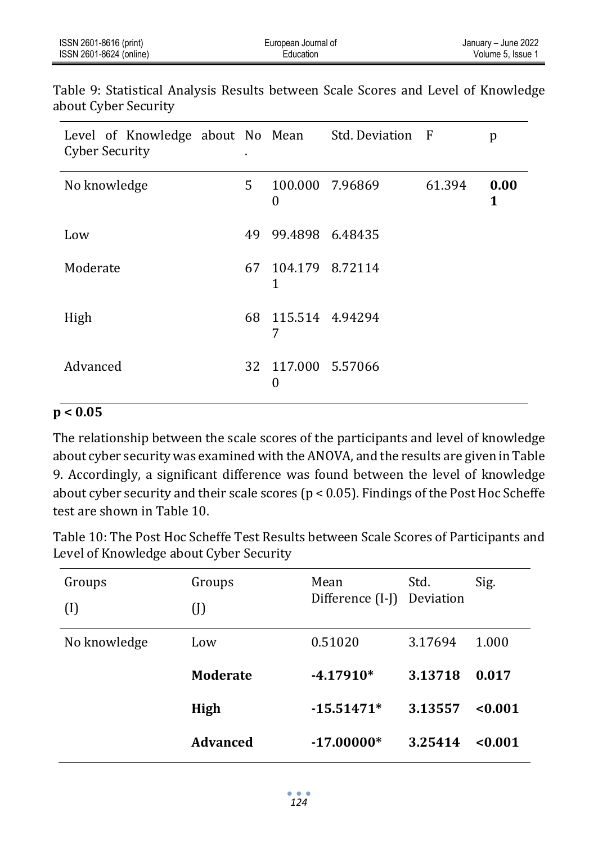| ISSN 2601-8616 (print)  | European Journal of | January - June 2022 |
|-------------------------|---------------------|---------------------|
| ISSN 2601-8624 (online) | Education           | Volume 5. Issue     |

Table 9: Statistical Analysis Results between Scale Scores and Level of Knowledge about Cyber Security

| Level of Knowledge about No Mean Std. Deviation F<br><b>Cyber Security</b> |      |                         |                 |        | p         |
|----------------------------------------------------------------------------|------|-------------------------|-----------------|--------|-----------|
| No knowledge                                                               | 5.   | 0                       | 100.000 7.96869 | 61.394 | 0.00<br>1 |
| Low                                                                        | 49.  | 99.4898 6.48435         |                 |        |           |
| Moderate                                                                   | 67   | 104.179 8.72114<br>1    |                 |        |           |
| High                                                                       | 68 - | 115.514 4.94294<br>7    |                 |        |           |
| Advanced                                                                   |      | 32 117.000 5.57066<br>0 |                 |        |           |

## **p < 0.05**

The relationship between the scale scores of the participants and level of knowledge about cyber security was examined with the ANOVA, and the results are given in Table 9. Accordingly, a significant difference was found between the level of knowledge about cyber security and their scale scores (p < 0.05). Findings of the Post Hoc Scheffe test are shown in Table 10.

Table 10: The Post Hoc Scheffe Test Results between Scale Scores of Participants and Level of Knowledge about Cyber Security

| Groups       | Groups          | Mean<br>Difference (I-J) | Std.<br>Deviation | Sig.    |
|--------------|-----------------|--------------------------|-------------------|---------|
| $\left($ I   | (J)             |                          |                   |         |
| No knowledge | Low             | 0.51020                  | 3.17694           | 1.000   |
|              | <b>Moderate</b> | $-4.17910*$              | 3.13718           | 0.017   |
|              | High            | $-15.51471*$             | 3.13557           | < 0.001 |
|              | <b>Advanced</b> | $-17.00000*$             | 3.25414           | < 0.001 |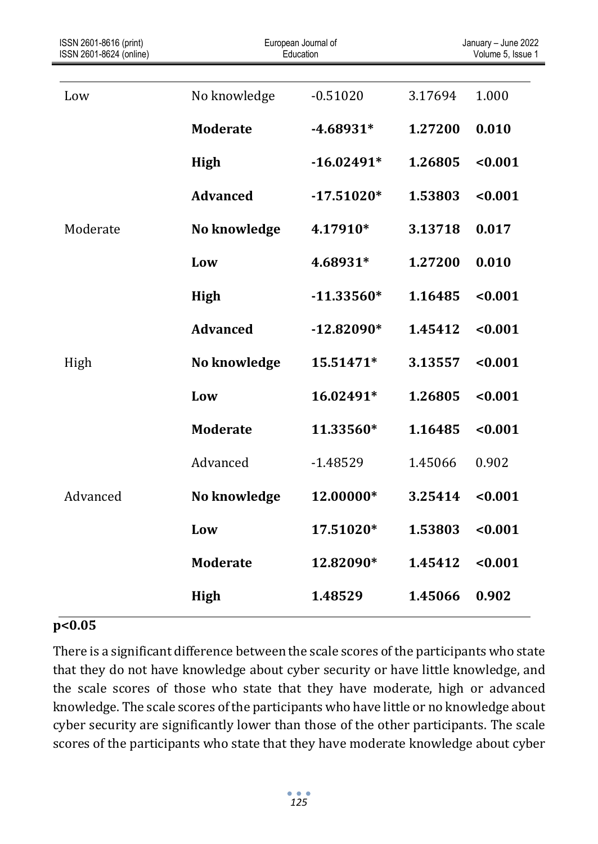| ISSN 2601-8616 (print)<br>ISSN 2601-8624 (online) |                 | European Journal of<br>Education |         | January - June 2022<br>Volume 5, Issue 1 |
|---------------------------------------------------|-----------------|----------------------------------|---------|------------------------------------------|
|                                                   |                 |                                  |         |                                          |
| Low                                               | No knowledge    | $-0.51020$                       | 3.17694 | 1.000                                    |
|                                                   | <b>Moderate</b> | $-4.68931*$                      | 1.27200 | 0.010                                    |
|                                                   | High            | $-16.02491*$                     | 1.26805 | < 0.001                                  |
|                                                   | <b>Advanced</b> | $-17.51020*$                     | 1.53803 | < 0.001                                  |
| Moderate                                          | No knowledge    | 4.17910*                         | 3.13718 | 0.017                                    |
|                                                   | Low             | 4.68931*                         | 1.27200 | 0.010                                    |
|                                                   | <b>High</b>     | $-11.33560*$                     | 1.16485 | < 0.001                                  |
|                                                   | <b>Advanced</b> | $-12.82090*$                     | 1.45412 | < 0.001                                  |
| High                                              | No knowledge    | 15.51471*                        | 3.13557 | < 0.001                                  |
|                                                   | Low             | 16.02491*                        | 1.26805 | < 0.001                                  |
|                                                   | <b>Moderate</b> | 11.33560*                        | 1.16485 | < 0.001                                  |
|                                                   | Advanced        | $-1.48529$                       | 1.45066 | 0.902                                    |
| Advanced                                          | No knowledge    | 12.00000*                        | 3.25414 | < 0.001                                  |
|                                                   | Low             | 17.51020*                        | 1.53803 | < 0.001                                  |
|                                                   | <b>Moderate</b> | 12.82090*                        | 1.45412 | < 0.001                                  |
|                                                   | <b>High</b>     | 1.48529                          | 1.45066 | 0.902                                    |

## **p<0.05**

There is a significant difference between the scale scores of the participants who state that they do not have knowledge about cyber security or have little knowledge, and the scale scores of those who state that they have moderate, high or advanced knowledge. The scale scores of the participants who have little or no knowledge about cyber security are significantly lower than those of the other participants. The scale scores of the participants who state that they have moderate knowledge about cyber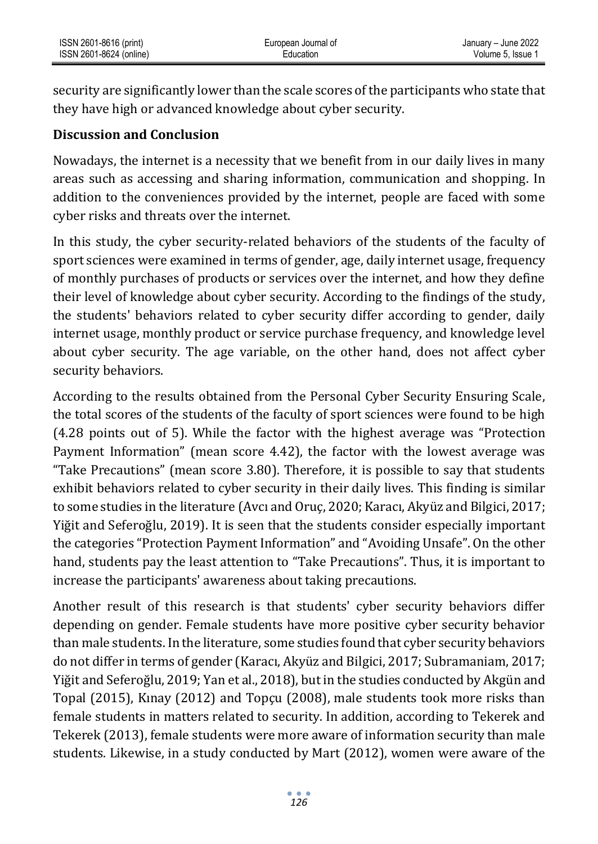security are significantly lower than the scale scores of the participants who state that they have high or advanced knowledge about cyber security.

## **Discussion and Conclusion**

Nowadays, the internet is a necessity that we benefit from in our daily lives in many areas such as accessing and sharing information, communication and shopping. In addition to the conveniences provided by the internet, people are faced with some cyber risks and threats over the internet.

In this study, the cyber security-related behaviors of the students of the faculty of sport sciences were examined in terms of gender, age, daily internet usage, frequency of monthly purchases of products or services over the internet, and how they define their level of knowledge about cyber security. According to the findings of the study, the students' behaviors related to cyber security differ according to gender, daily internet usage, monthly product or service purchase frequency, and knowledge level about cyber security. The age variable, on the other hand, does not affect cyber security behaviors.

According to the results obtained from the Personal Cyber Security Ensuring Scale, the total scores of the students of the faculty of sport sciences were found to be high (4.28 points out of 5). While the factor with the highest average was "Protection Payment Information" (mean score 4.42), the factor with the lowest average was "Take Precautions" (mean score 3.80). Therefore, it is possible to say that students exhibit behaviors related to cyber security in their daily lives. This finding is similar to some studies in the literature (Avcı and Oruç, 2020; Karacı, Akyüz and Bilgici, 2017; Yiğit and Seferoğlu, 2019). It is seen that the students consider especially important the categories "Protection Payment Information" and "Avoiding Unsafe". On the other hand, students pay the least attention to "Take Precautions". Thus, it is important to increase the participants' awareness about taking precautions.

Another result of this research is that students' cyber security behaviors differ depending on gender. Female students have more positive cyber security behavior than male students. In the literature, some studies found that cyber security behaviors do not differ in terms of gender (Karacı, Akyüz and Bilgici, 2017; Subramaniam, 2017; Yiğit and Seferoğlu, 2019; Yan et al., 2018), but in the studies conducted by Akgün and Topal (2015), Kınay (2012) and Topçu (2008), male students took more risks than female students in matters related to security. In addition, according to Tekerek and Tekerek (2013), female students were more aware of information security than male students. Likewise, in a study conducted by Mart (2012), women were aware of the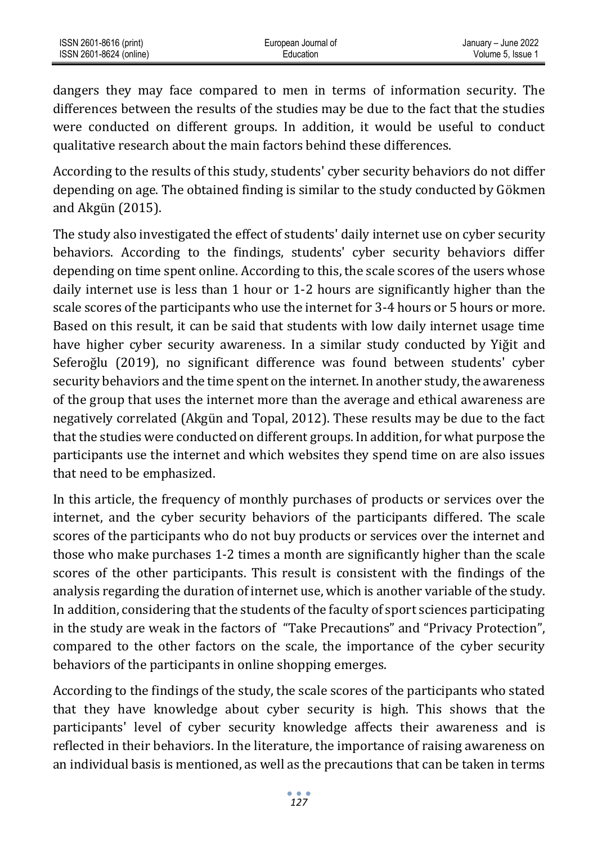dangers they may face compared to men in terms of information security. The differences between the results of the studies may be due to the fact that the studies were conducted on different groups. In addition, it would be useful to conduct qualitative research about the main factors behind these differences.

According to the results of this study, students' cyber security behaviors do not differ depending on age. The obtained finding is similar to the study conducted by Gökmen and Akgün (2015).

The study also investigated the effect of students' daily internet use on cyber security behaviors. According to the findings, students' cyber security behaviors differ depending on time spent online. According to this, the scale scores of the users whose daily internet use is less than 1 hour or 1-2 hours are significantly higher than the scale scores of the participants who use the internet for 3-4 hours or 5 hours or more. Based on this result, it can be said that students with low daily internet usage time have higher cyber security awareness. In a similar study conducted by Yiğit and Seferoğlu (2019), no significant difference was found between students' cyber security behaviors and the time spent on the internet. In another study, the awareness of the group that uses the internet more than the average and ethical awareness are negatively correlated (Akgün and Topal, 2012). These results may be due to the fact that the studies were conducted on different groups. In addition, for what purpose the participants use the internet and which websites they spend time on are also issues that need to be emphasized.

In this article, the frequency of monthly purchases of products or services over the internet, and the cyber security behaviors of the participants differed. The scale scores of the participants who do not buy products or services over the internet and those who make purchases 1-2 times a month are significantly higher than the scale scores of the other participants. This result is consistent with the findings of the analysis regarding the duration of internet use, which is another variable of the study. In addition, considering that the students of the faculty of sport sciences participating in the study are weak in the factors of "Take Precautions" and "Privacy Protection", compared to the other factors on the scale, the importance of the cyber security behaviors of the participants in online shopping emerges.

According to the findings of the study, the scale scores of the participants who stated that they have knowledge about cyber security is high. This shows that the participants' level of cyber security knowledge affects their awareness and is reflected in their behaviors. In the literature, the importance of raising awareness on an individual basis is mentioned, as well as the precautions that can be taken in terms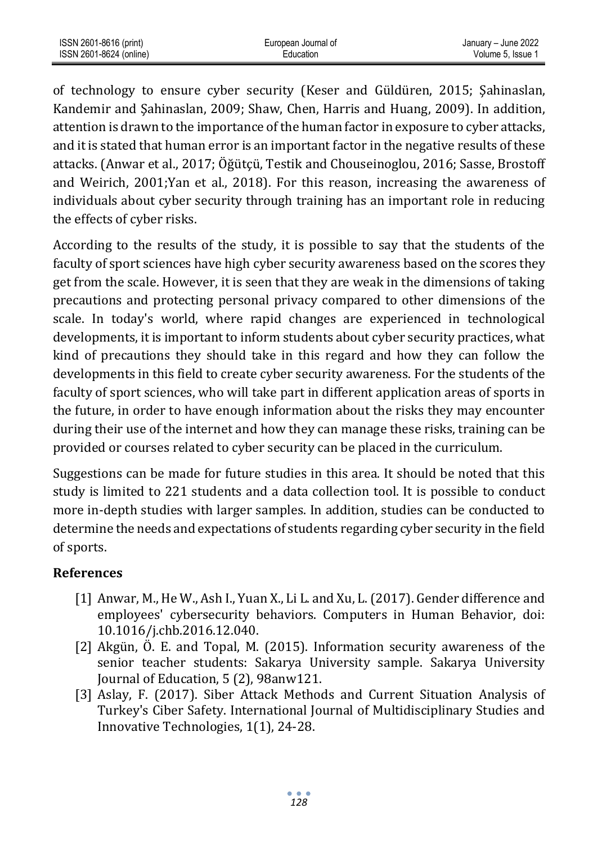| ISSN 2601-8616 (print)  | European Journal of | January – June 2022 |
|-------------------------|---------------------|---------------------|
| ISSN 2601-8624 (online) | Education           | Volume 5. Issue 1   |

of technology to ensure cyber security (Keser and Güldüren, 2015; Şahinaslan, Kandemir and Şahinaslan, 2009; Shaw, Chen, Harris and Huang, 2009). In addition, attention is drawn to the importance of the human factor in exposure to cyber attacks, and it is stated that human error is an important factor in the negative results of these attacks. (Anwar et al., 2017; Öğütçü, Testik and Chouseinoglou, 2016; Sasse, Brostoff and Weirich, 2001;Yan et al., 2018). For this reason, increasing the awareness of individuals about cyber security through training has an important role in reducing the effects of cyber risks.

According to the results of the study, it is possible to say that the students of the faculty of sport sciences have high cyber security awareness based on the scores they get from the scale. However, it is seen that they are weak in the dimensions of taking precautions and protecting personal privacy compared to other dimensions of the scale. In today's world, where rapid changes are experienced in technological developments, it is important to inform students about cyber security practices, what kind of precautions they should take in this regard and how they can follow the developments in this field to create cyber security awareness. For the students of the faculty of sport sciences, who will take part in different application areas of sports in the future, in order to have enough information about the risks they may encounter during their use of the internet and how they can manage these risks, training can be provided or courses related to cyber security can be placed in the curriculum.

Suggestions can be made for future studies in this area. It should be noted that this study is limited to 221 students and a data collection tool. It is possible to conduct more in-depth studies with larger samples. In addition, studies can be conducted to determine the needs and expectations of students regarding cyber security in the field of sports.

## **References**

- [1] Anwar, M., He W., Ash I., Yuan X., Li L. and Xu, L. (2017). Gender difference and employees' cybersecurity behaviors. Computers in Human Behavior, doi: 10.1016/j.chb.2016.12.040.
- [2] Akgün, Ö. E. and Topal, M. (2015). Information security awareness of the senior teacher students: Sakarya University sample. Sakarya University Journal of Education, 5 (2), 98anw121.
- [3] Aslay, F. (2017). Siber Attack Methods and Current Situation Analysis of Turkey's Ciber Safety. International Journal of Multidisciplinary Studies and Innovative Technologies, 1(1), 24-28.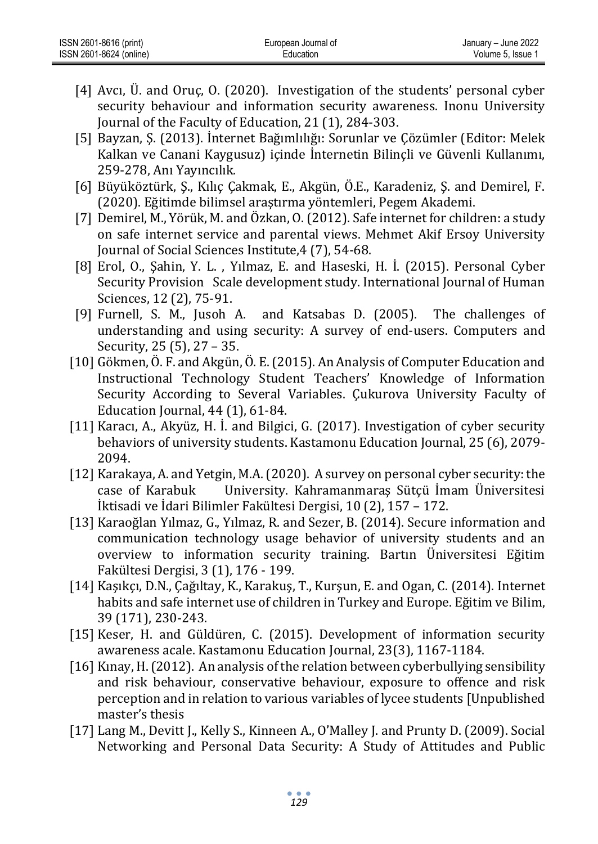| ISSN 2601-8616 (print)  | European Journal of | January - June 2022 |
|-------------------------|---------------------|---------------------|
| ISSN 2601-8624 (online) | Education           | Volume 5. Issue 1   |

- [4] Avcı, Ü. and Oruç, O. (2020). Investigation of the students' personal cyber security behaviour and information security awareness. Inonu University Journal of the Faculty of Education, 21 (1), 284-303.
- [5] Bayzan, Ş. (2013). İnternet Bağımlılığı: Sorunlar ve Çözümler (Editor: Melek Kalkan ve Canani Kaygusuz) içinde İnternetin Bilinçli ve Güvenli Kullanımı, 259-278, Anı Yayıncılık.
- [6] Büyüköztürk, Ş., Kılıç Çakmak, E., Akgün, Ö.E., Karadeniz, Ş. and Demirel, F. (2020). Eğitimde bilimsel araştırma yöntemleri, Pegem Akademi.
- [7] Demirel, M., Yörük, M. and Özkan, O. (2012). Safe internet for children: a study on safe internet service and parental views. Mehmet Akif Ersoy University Journal of Social Sciences Institute,4 (7), 54-68.
- [8] Erol, O., Şahin, Y. L. , Yılmaz, E. and Haseski, H. İ. (2015). Personal Cyber Security Provision Scale development study. International Journal of Human Sciences, 12 (2), 75-91.
- [9] Furnell, S. M., Jusoh A. and Katsabas D. (2005). The challenges of understanding and using security: A survey of end-users. Computers and Security, 25 (5), 27 – 35.
- [10] Gökmen, Ö. F. and Akgün, Ö. E. (2015). An Analysis of Computer Education and Instructional Technology Student Teachers' Knowledge of Information Security According to Several Variables. Çukurova University Faculty of Education Journal, 44 (1), 61-84.
- [11] Karacı, A., Akyüz, H. İ. and Bilgici, G. (2017). Investigation of cyber security behaviors of university students. Kastamonu Education Journal, 25 (6), 2079- 2094.
- [12] Karakaya, A. and Yetgin, M.A. (2020). A survey on personal cyber security: the case of Karabuk University. Kahramanmaraş Sütçü İmam Üniversitesi İktisadi ve İdari Bilimler Fakültesi Dergisi, 10 (2), 157 – 172.
- [13] Karaoğlan Yılmaz, G., Yılmaz, R. and Sezer, B. (2014). Secure information and communication technology usage behavior of university students and an overview to information security training. Bartın Üniversitesi Eğitim Fakültesi Dergisi, 3 (1), 176 - 199.
- [14] Kaşıkçı, D.N., Çağıltay, K., Karakuş, T., Kurşun, E. and Ogan, C. (2014). Internet habits and safe internet use of children in Turkey and Europe. Eğitim ve Bilim, 39 (171), 230-243.
- [15] Keser, H. and Güldüren, C. (2015). Development of information security awareness acale. Kastamonu Education Journal, 23(3), 1167-1184.
- [16] Kınay, H. (2012). An analysis of the relation between cyberbullying sensibility and risk behaviour, conservative behaviour, exposure to offence and risk perception and in relation to various variables of lycee students [Unpublished master's thesis
- [17] Lang M., Devitt J., Kelly S., Kinneen A., O'Malley J. and Prunty D. (2009). Social Networking and Personal Data Security: A Study of Attitudes and Public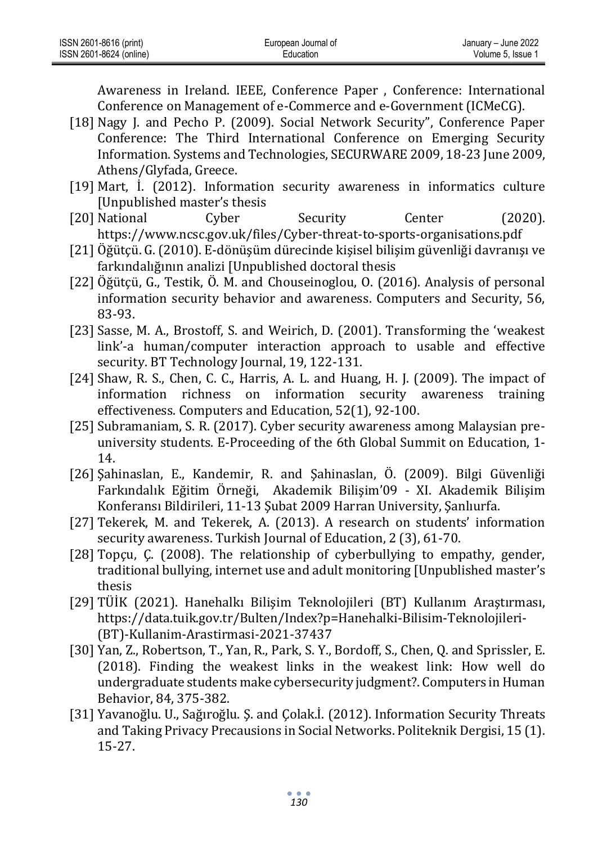| ISSN 2601-8616 (print)  | European Journal of | January - June 2022 |
|-------------------------|---------------------|---------------------|
| ISSN 2601-8624 (online) | Education           | Volume 5. Issue     |

Awareness in Ireland. IEEE, Conference Paper , Conference: International Conference on Management of e-Commerce and e-Government (ICMeCG).

- [18] Nagy J. and Pecho P. (2009). Social Network Security", Conference Paper Conference: The Third International Conference on Emerging Security Information. Systems and Technologies, SECURWARE 2009, 18-23 June 2009, Athens/Glyfada, Greece.
- [19] Mart, İ. (2012). Information security awareness in informatics culture [Unpublished master's thesis
- [20] National Cyber Security Center (2020). https://www.ncsc.gov.uk/files/Cyber-threat-to-sports-organisations.pdf
- [21] Öğütçü. G. (2010). E-dönüşüm dürecinde kişisel bilişim güvenliği davranışı ve farkındalığının analizi [Unpublished doctoral thesis
- [22] Öğütçü, G., Testik, Ö. M. and Chouseinoglou, O. (2016). Analysis of personal information security behavior and awareness. Computers and Security, 56, 83-93.
- [23] Sasse, M. A., Brostoff, S. and Weirich, D. (2001). Transforming the 'weakest link'-a human/computer interaction approach to usable and effective security. BT Technology Journal, 19, 122-131.
- [24] Shaw, R. S., Chen, C. C., Harris, A. L. and Huang, H. J. (2009). The impact of information richness on information security awareness training effectiveness. Computers and Education, 52(1), 92-100.
- [25] Subramaniam, S. R. (2017). Cyber security awareness among Malaysian preuniversity students. E-Proceeding of the 6th Global Summit on Education, 1- 14.
- [26] Şahinaslan, E., Kandemir, R. and Şahinaslan, Ö. (2009). Bilgi Güvenliği Farkındalık Eğitim Örneği, Akademik Bilişim'09 - XI. Akademik Bilişim Konferansı Bildirileri, 11-13 Şubat 2009 Harran University, Şanlıurfa.
- [27] Tekerek, M. and Tekerek, A. (2013). A research on students' information security awareness. Turkish Journal of Education, 2 (3), 61-70.
- [28] Topçu, Ç. (2008). The relationship of cyberbullying to empathy, gender, traditional bullying, internet use and adult monitoring [Unpublished master's thesis
- [29] TÜİK (2021). Hanehalkı Bilişim Teknolojileri (BT) Kullanım Araştırması, https://data.tuik.gov.tr/Bulten/Index?p=Hanehalki-Bilisim-Teknolojileri- (BT)-Kullanim-Arastirmasi-2021-37437
- [30] Yan, Z., Robertson, T., Yan, R., Park, S. Y., Bordoff, S., Chen, Q. and Sprissler, E. (2018). Finding the weakest links in the weakest link: How well do undergraduate students make cybersecurity judgment?. Computers in Human Behavior, 84, 375-382.
- [31] Yavanoğlu. U., Sağıroğlu. Ş. and Çolak.İ. (2012). Information Security Threats and Taking Privacy Precausions in Social Networks. Politeknik Dergisi, 15 (1). 15-27.